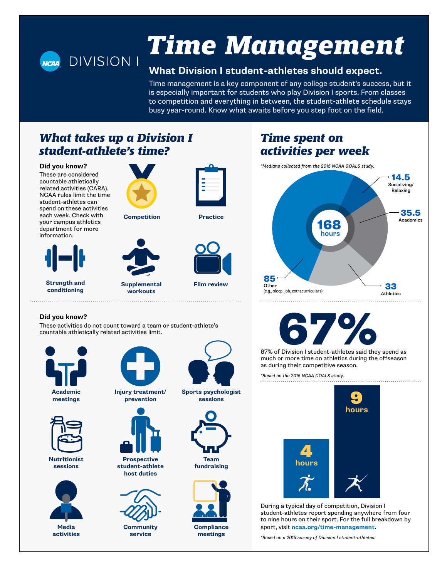

# *[Time Management](https://www.ncaa.org/time-management)*

#### **What Division I student-athletes should expect.**

Time management is a key component of any college student's success, but it is especially important for students who play Division I sports. From classes to competition and everything in between, the student-athlete schedule stays busy year-round. Know what awaits before you step foot on the field.

### *What takes up a Division I student-athlete's time?*

#### **Did you know?**

These are considered countable athletically related activities (CARA). NCAA rules limit the time student-athletes can spend on these activities each week. Check with your campus athletics department for more information.



**Strength and conditioning**



**Competition Practice**

**workouts**





**Supplemental Film review**

### *Time spent on activities per week*

*\*Medians collected from the 2015 NCAA GOALS study.*



67% of Division I student-athletes said they spend as

much or more time on athletics during the offseason as during their competitive season.

*\*Based on the 2015 NCAA GOALS study.*



During a typical day of competition, Division I student-athletes report spending anywhere from four to nine hours on their sport. For the full breakdown by sport, visit **[ncaa.org/time-managemen](https://www.ncaa.org/time-management)t**.

*\*Based on a 2015 survey of Division I student-athletes.*

#### **Did you know?**

These activities do not count toward a team or student-athlete's countable athletically related activities limit.







**Nutritionist sessions**



**Media activities**



**Injury treatment/ prevention**



**Prospective student-athlete host duties**



**Community service**



**Sports psychologist sessions**



**fundraising**



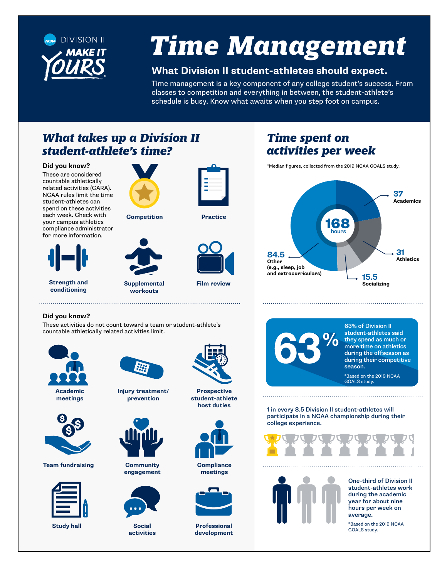

## *Time Management*

#### **What Division II student-athletes should expect.**

Time management is a key component of any college student's success. From classes to competition and everything in between, the student-athlete's schedule is busy. Know what awaits when you step foot on campus.

### *What takes up a Division II student-athlete's time?*

#### **Did you know?**

These are considered countable athletically related activities (CARA). NCAA rules limit the time student-athletes can spend on these activities each week. Check with your campus athletics compliance administrator for more information.





**Strength and conditioning**



**Supplemental Film review workouts**





### *Time spent on activities per week*

\*Median figures, collected from the 2019 NCAA GOALS study.





These activities do not count toward a team or student-athlete's countable athletically related activities limit.



**meetings**



**Team fundraising**



**Study hall**



**Injury treatment/ prevention**

**Community engagement**

> **Social activities**



**Prospective student-athlete host duties**



**Compliance meetings**



**Professional development**



1 in every 8.5 Division II student-athletes will participate in a NCAA championship during their college experience.





One-third of Division II student-athletes work during the academic year for about nine hours per week on average.

\*Based on the 2019 NCAA GOALS study.